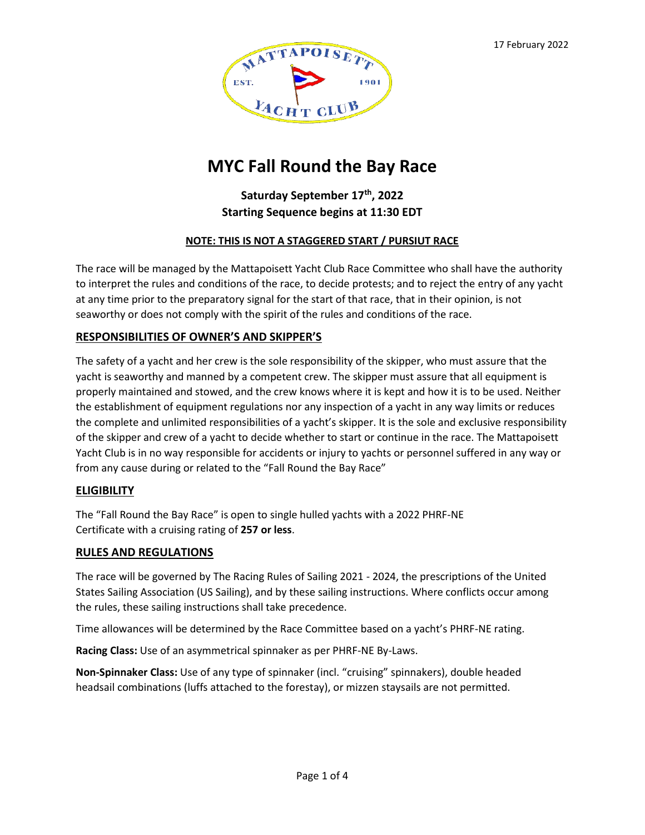

# **MYC Fall Round the Bay Race**

# **Saturday September 17 th, 2022 Starting Sequence begins at 11:30 EDT**

### **NOTE: THIS IS NOT A STAGGERED START / PURSIUT RACE**

The race will be managed by the Mattapoisett Yacht Club Race Committee who shall have the authority to interpret the rules and conditions of the race, to decide protests; and to reject the entry of any yacht at any time prior to the preparatory signal for the start of that race, that in their opinion, is not seaworthy or does not comply with the spirit of the rules and conditions of the race.

### **RESPONSIBILITIES OF OWNER'S AND SKIPPER'S**

The safety of a yacht and her crew is the sole responsibility of the skipper, who must assure that the yacht is seaworthy and manned by a competent crew. The skipper must assure that all equipment is properly maintained and stowed, and the crew knows where it is kept and how it is to be used. Neither the establishment of equipment regulations nor any inspection of a yacht in any way limits or reduces the complete and unlimited responsibilities of a yacht's skipper. It is the sole and exclusive responsibility of the skipper and crew of a yacht to decide whether to start or continue in the race. The Mattapoisett Yacht Club is in no way responsible for accidents or injury to yachts or personnel suffered in any way or from any cause during or related to the "Fall Round the Bay Race"

### **ELIGIBILITY**

The "Fall Round the Bay Race" is open to single hulled yachts with a 2022 PHRF-NE Certificate with a cruising rating of **257 or less**.

### **RULES AND REGULATIONS**

The race will be governed by The Racing Rules of Sailing 2021 - 2024, the prescriptions of the United States Sailing Association (US Sailing), and by these sailing instructions. Where conflicts occur among the rules, these sailing instructions shall take precedence.

Time allowances will be determined by the Race Committee based on a yacht's PHRF-NE rating.

**Racing Class:** Use of an asymmetrical spinnaker as per PHRF-NE By-Laws.

**Non-Spinnaker Class:** Use of any type of spinnaker (incl. "cruising" spinnakers), double headed headsail combinations (luffs attached to the forestay), or mizzen staysails are not permitted.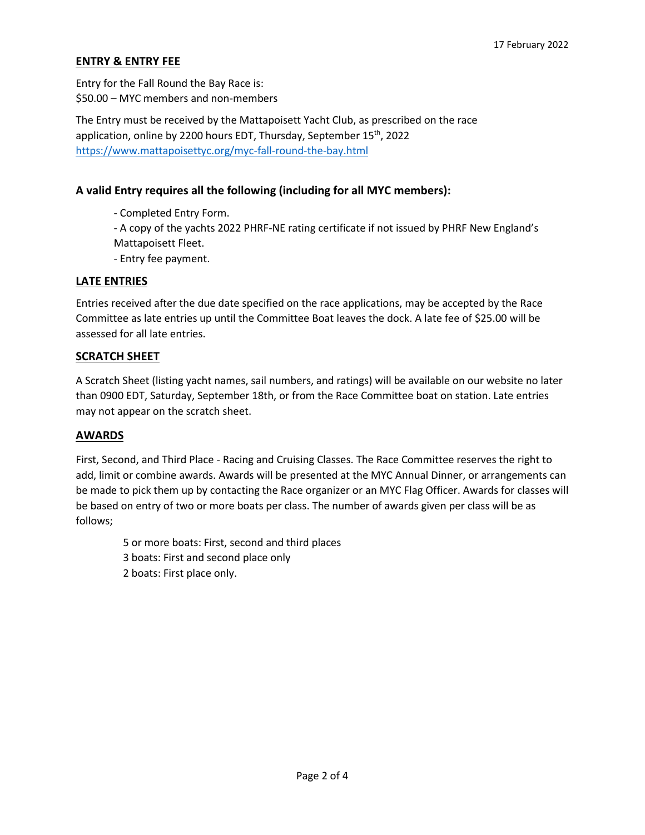# **ENTRY & ENTRY FEE**

Entry for the Fall Round the Bay Race is: \$50.00 – MYC members and non-members

The Entry must be received by the Mattapoisett Yacht Club, as prescribed on the race application, online by 2200 hours EDT, Thursday, September 15<sup>th</sup>, 2022 <https://www.mattapoisettyc.org/myc-fall-round-the-bay.html>

# **A valid Entry requires all the following (including for all MYC members):**

- Completed Entry Form.
- A copy of the yachts 2022 PHRF-NE rating certificate if not issued by PHRF New England's
- Mattapoisett Fleet.
- Entry fee payment.

### **LATE ENTRIES**

Entries received after the due date specified on the race applications, may be accepted by the Race Committee as late entries up until the Committee Boat leaves the dock. A late fee of \$25.00 will be assessed for all late entries.

### **SCRATCH SHEET**

A Scratch Sheet (listing yacht names, sail numbers, and ratings) will be available on our website no later than 0900 EDT, Saturday, September 18th, or from the Race Committee boat on station. Late entries may not appear on the scratch sheet.

### **AWARDS**

First, Second, and Third Place - Racing and Cruising Classes. The Race Committee reserves the right to add, limit or combine awards. Awards will be presented at the MYC Annual Dinner, or arrangements can be made to pick them up by contacting the Race organizer or an MYC Flag Officer. Awards for classes will be based on entry of two or more boats per class. The number of awards given per class will be as follows;

 5 or more boats: First, second and third places 3 boats: First and second place only

2 boats: First place only.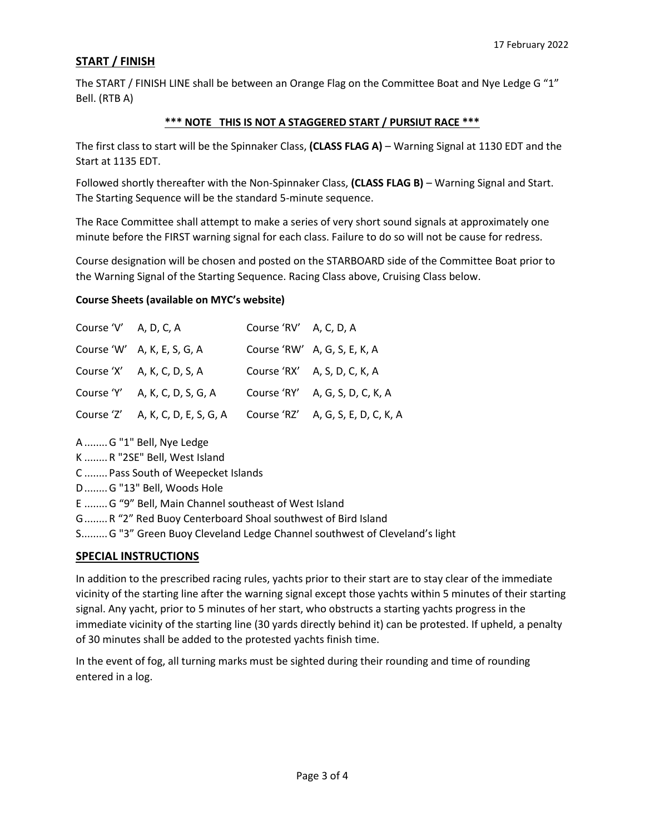# **START / FINISH**

The START / FINISH LINE shall be between an Orange Flag on the Committee Boat and Nye Ledge G "1" Bell. (RTB A)

### **\*\*\* NOTE THIS IS NOT A STAGGERED START / PURSIUT RACE \*\*\***

The first class to start will be the Spinnaker Class, **(CLASS FLAG A)** – Warning Signal at 1130 EDT and the Start at 1135 EDT.

Followed shortly thereafter with the Non-Spinnaker Class, **(CLASS FLAG B)** – Warning Signal and Start. The Starting Sequence will be the standard 5-minute sequence.

The Race Committee shall attempt to make a series of very short sound signals at approximately one minute before the FIRST warning signal for each class. Failure to do so will not be cause for redress.

Course designation will be chosen and posted on the STARBOARD side of the Committee Boat prior to the Warning Signal of the Starting Sequence. Racing Class above, Cruising Class below.

### **Course Sheets (available on MYC's website)**

| Course 'V' A, D, C, A |                                   | Course 'RV' A, C, D, A |                                    |
|-----------------------|-----------------------------------|------------------------|------------------------------------|
|                       | Course 'W' A, K, E, S, G, A       |                        | Course 'RW' A, G, S, E, K, A       |
|                       | Course 'X' A, K, C, D, S, A       |                        | Course 'RX' A, S, D, C, K, A       |
|                       | Course 'Y' A, K, C, D, S, G, A    |                        | Course 'RY' A, G, S, D, C, K, A    |
|                       | Course 'Z' A, K, C, D, E, S, G, A |                        | Course 'RZ' A, G, S, E, D, C, K, A |

A ........G "1" Bell, Nye Ledge

K ........R "2SE" Bell, West Island

C ........Pass South of Weepecket Islands

D........G "13" Bell, Woods Hole

E ........G "9" Bell, Main Channel southeast of West Island

G........R "2" Red Buoy Centerboard Shoal southwest of Bird Island

S.........G "3" Green Buoy Cleveland Ledge Channel southwest of Cleveland's light

# **SPECIAL INSTRUCTIONS**

In addition to the prescribed racing rules, yachts prior to their start are to stay clear of the immediate vicinity of the starting line after the warning signal except those yachts within 5 minutes of their starting signal. Any yacht, prior to 5 minutes of her start, who obstructs a starting yachts progress in the immediate vicinity of the starting line (30 yards directly behind it) can be protested. If upheld, a penalty of 30 minutes shall be added to the protested yachts finish time.

In the event of fog, all turning marks must be sighted during their rounding and time of rounding entered in a log.